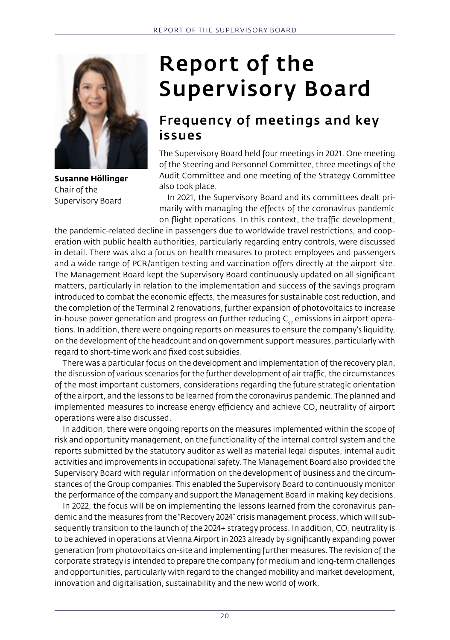

**Susanne Höllinger** Chair of the Supervisory Board

# Report of the Supervisory Board

#### Frequency of meetings and key issues

The Supervisory Board held four meetings in 2021. One meeting of the Steering and Personnel Committee, three meetings of the Audit Committee and one meeting of the Strategy Committee also took place.

In 2021, the Supervisory Board and its committees dealt primarily with managing the effects of the coronavirus pandemic on flight operations. In this context, the traffic development,

the pandemic-related decline in passengers due to worldwide travel restrictions, and cooperation with public health authorities, particularly regarding entry controls, were discussed in detail. There was also a focus on health measures to protect employees and passengers and a wide range of PCR/antigen testing and vaccination offers directly at the airport site. The Management Board kept the Supervisory Board continuously updated on all significant matters, particularly in relation to the implementation and success of the savings program introduced to combat the economic effects, the measures for sustainable cost reduction, and the completion of the Terminal 2 renovations, further expansion of photovoltaics to increase in-house power generation and progress on further reducing  $C_{2}$  emissions in airport operations. In addition, there were ongoing reports on measures to ensure the company's liquidity, on the development of the headcount and on government support measures, particularly with regard to short-time work and fixed cost subsidies.

There was a particular focus on the development and implementation of the recovery plan, the discussion of various scenarios for the further development of air traffic, the circumstances of the most important customers, considerations regarding the future strategic orientation of the airport, and the lessons to be learned from the coronavirus pandemic. The planned and implemented measures to increase energy efficiency and achieve CO $_{\textrm{\tiny{2}}}$  neutrality of airport operations were also discussed.

In addition, there were ongoing reports on the measures implemented within the scope of risk and opportunity management, on the functionality of the internal control system and the reports submitted by the statutory auditor as well as material legal disputes, internal audit activities and improvements in occupational safety. The Management Board also provided the Supervisory Board with regular information on the development of business and the circumstances of the Group companies. This enabled the Supervisory Board to continuously monitor the performance of the company and support the Management Board in making key decisions.

In 2022, the focus will be on implementing the lessons learned from the coronavirus pandemic and the measures from the "Recovery 2024" crisis management process, which will subsequently transition to the launch of the 2024+ strategy process. In addition, CO<sub>2</sub> neutrality is to be achieved in operations at Vienna Airport in 2023 already by significantly expanding power generation from photovoltaics on-site and implementing further measures. The revision of the corporate strategy is intended to prepare the company for medium and long-term challenges and opportunities, particularly with regard to the changed mobility and market development, innovation and digitalisation, sustainability and the new world of work.